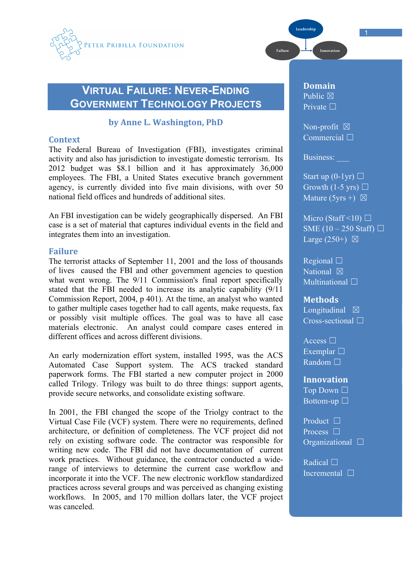

# **VIRTUAL FAILURE: NEVER-ENDING GOVERNMENT TECHNOLOGY PROJECTS**

# by Anne L. Washington, PhD

## **Context**

The Federal Bureau of Investigation (FBI), investigates criminal activity and also has jurisdiction to investigate domestic terrorism. Its 2012 budget was \$8.1 billion and it has approximately 36,000 employees. The FBI, a United States executive branch government agency, is currently divided into five main divisions, with over 50 national field offices and hundreds of additional sites.

An FBI investigation can be widely geographically dispersed. An FBI case is a set of material that captures individual events in the field and integrates them into an investigation.

## **Failure**

The terrorist attacks of September 11, 2001 and the loss of thousands of lives caused the FBI and other government agencies to question what went wrong. The  $9/11$  Commission's final report specifically stated that the FBI needed to increase its analytic capability (9/11 Commission Report, 2004, p 401). At the time, an analyst who wanted to gather multiple cases together had to call agents, make requests, fax or possibly visit multiple offices. The goal was to have all case materials electronic. An analyst could compare cases entered in different offices and across different divisions.

An early modernization effort system, installed 1995, was the ACS Automated Case Support system. The ACS tracked standard paperwork forms. The FBI started a new computer project in 2000 called Trilogy. Trilogy was built to do three things: support agents, provide secure networks, and consolidate existing software.

In 2001, the FBI changed the scope of the Triolgy contract to the Virtual Case File (VCF) system. There were no requirements, defined architecture, or definition of completeness. The VCF project did not rely on existing software code. The contractor was responsible for writing new code. The FBI did not have documentation of current work practices. Without guidance, the contractor conducted a widerange of interviews to determine the current case workflow and incorporate it into the VCF. The new electronic workflow standardized practices across several groups and was perceived as changing existing workflows. In 2005, and 170 million dollars later, the VCF project was canceled.

**Domain** Public  $\boxtimes$ Private □

Leadership

Failure

Non-profit  $\boxtimes$ Commercial □

Innovation

Business:

Start up  $(0-1yr)$   $\Box$ Growth (1-5 yrs)  $\Box$ Mature (5yrs +)  $\boxtimes$ 

Micro (Staff <10)  $\Box$ SME  $(10 - 250$  Staff)  $\Box$ Large  $(250+)$   $\boxtimes$ 

Regional ☐ National  $\boxtimes$ Multinational □

**Methods** Longitudinal  $\boxtimes$ Cross-sectional ☐

Access □ Exemplar □ Random □

**Innovation** Top Down □ Bottom-up  $\square$ 

Product □ Process  $\square$ Organizational ☐

Radical □ Incremental ☐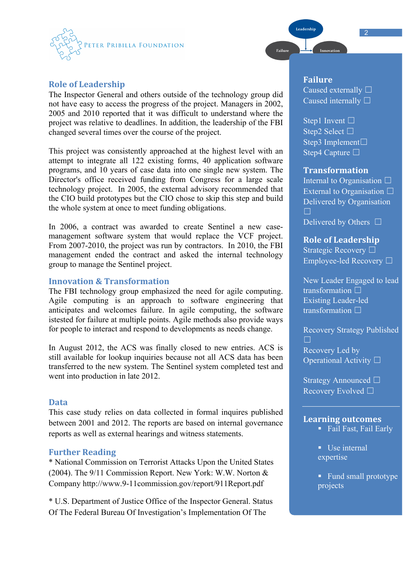

# **Role of Leadership**

The Inspector General and others outside of the technology group did not have easy to access the progress of the project. Managers in 2002, 2005 and 2010 reported that it was difficult to understand where the project was relative to deadlines. In addition, the leadership of the FBI changed several times over the course of the project.

This project was consistently approached at the highest level with an attempt to integrate all 122 existing forms, 40 application software programs, and 10 years of case data into one single new system. The Director's office received funding from Congress for a large scale technology project. In 2005, the external advisory recommended that the CIO build prototypes but the CIO chose to skip this step and build the whole system at once to meet funding obligations.

In 2006, a contract was awarded to create Sentinel a new casemanagement software system that would replace the VCF project. From 2007-2010, the project was run by contractors. In 2010, the FBI management ended the contract and asked the internal technology group to manage the Sentinel project.

# **Innovation & Transformation**

The FBI technology group emphasized the need for agile computing. Agile computing is an approach to software engineering that anticipates and welcomes failure. In agile computing, the software istested for failure at multiple points. Agile methods also provide ways for people to interact and respond to developments as needs change.

In August 2012, the ACS was finally closed to new entries. ACS is still available for lookup inquiries because not all ACS data has been transferred to the new system. The Sentinel system completed test and went into production in late 2012.

#### **Data**

This case study relies on data collected in formal inquires published between 2001 and 2012. The reports are based on internal governance reports as well as external hearings and witness statements.

## **Further Reading**

\* National Commission on Terrorist Attacks Upon the United States (2004). The 9/11 Commission Report. New York: W.W. Norton & Company http://www.9-11commission.gov/report/911Report.pdf

\* U.S. Department of Justice Office of the Inspector General. Status Of The Federal Bureau Of Investigation's Implementation Of The

# **Failure** Caused externally □ Caused internally □

Leadership

Failure

Step1 Invent  $\Box$ Step2 Select □ Step3 Implement□ Step4 Capture □

## **Transformation**

**Internal to Organisation** □ External to Organisation  $\Box$ Delivered by Organisation  $\Box$ 

Delivered by Others  $\Box$ 

**Role of Leadership** Strategic Recovery □ Employee-led Recovery ☐

New Leader Engaged to lead transformation □ Existing Leader-led transformation □

Recovery Strategy Published ☐ Recovery Led by Operational Activity □

Strategy Announced □ Recovery Evolved □

## **Learning#outcomes**

- Fail Fast, Fail Early
- $\blacksquare$  Use internal expertise
- Fund small prototype projects

2